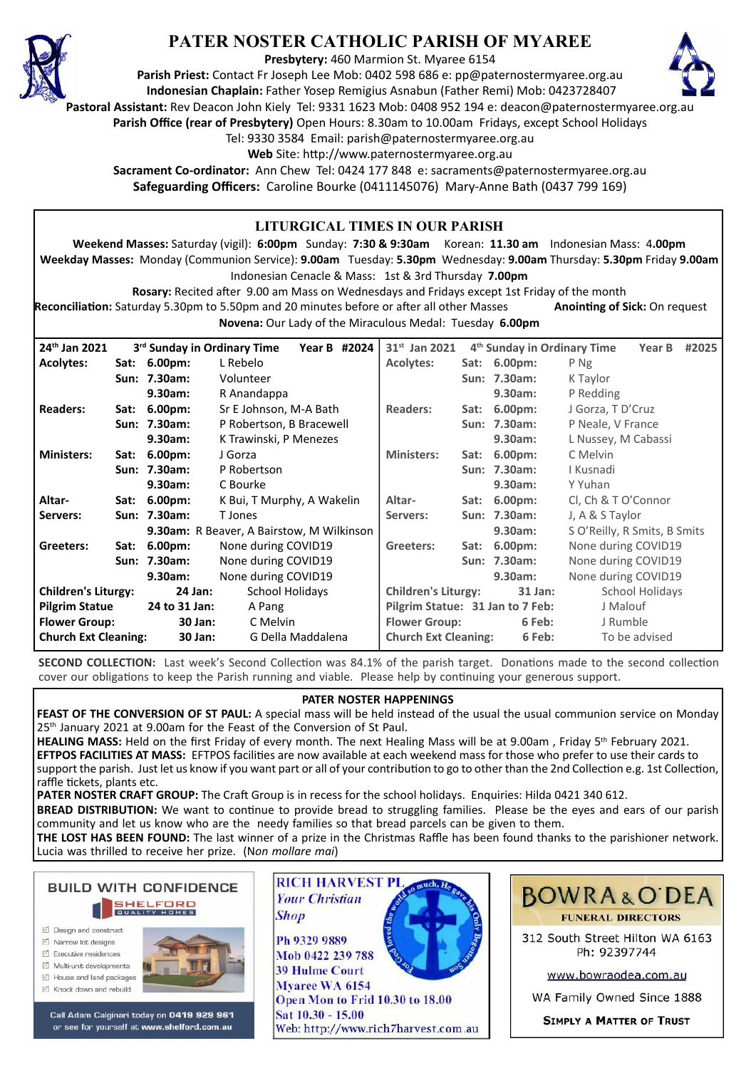

## **PATER NOSTER CATHOLIC PARISH OF MYAREE**

**Presbytery:** 460 Marmion St. Myaree 6154

**Parish Priest:** Contact Fr Joseph Lee Mob: 0402 598 686 e: pp@paternostermyaree.org.au **Indonesian Chaplain:** Father Yosep Remigius Asnabun (Father Remi) Mob: 0423728407



**Pastoral Assistant:** Rev Deacon John Kiely Tel: 9331 1623 Mob: 0408 952 194 e: deacon@paternostermyaree.org.au

**Parish Office (rear of Presbytery)** Open Hours: 8.30am to 10.00am Fridays, except School Holidays

Tel: 9330 3584 Email: parish@paternostermyaree.org.au

Web Site: http://www.paternostermyaree.org.au

**Sacrament Co-ordinator:** Ann Chew Tel: 0424 177 848 e: sacraments@paternostermyaree.org.au **Safeguarding Officers:** Caroline Bourke (0411145076) Mary-Anne Bath (0437 799 169)

| LITURGICAL TIMES IN OUR PARISH                                                                                                                                              |  |                                         |                            |              |                                                          |                                       |              |                                         |                     |  |  |
|-----------------------------------------------------------------------------------------------------------------------------------------------------------------------------|--|-----------------------------------------|----------------------------|--------------|----------------------------------------------------------|---------------------------------------|--------------|-----------------------------------------|---------------------|--|--|
| Weekend Masses: Saturday (vigil): 6:00pm Sunday: 7:30 & 9:30am Korean: 11.30 am Indonesian Mass: 4.00pm                                                                     |  |                                         |                            |              |                                                          |                                       |              |                                         |                     |  |  |
|                                                                                                                                                                             |  |                                         |                            |              |                                                          |                                       |              |                                         |                     |  |  |
| Weekday Masses: Monday (Communion Service): 9.00am Tuesday: 5.30pm Wednesday: 9.00am Thursday: 5.30pm Friday 9.00am<br>Indonesian Cenacle & Mass: 1st & 3rd Thursday 7.00pm |  |                                         |                            |              |                                                          |                                       |              |                                         |                     |  |  |
| Rosary: Recited after 9.00 am Mass on Wednesdays and Fridays except 1st Friday of the month                                                                                 |  |                                         |                            |              |                                                          |                                       |              |                                         |                     |  |  |
| Reconciliation: Saturday 5.30pm to 5.50pm and 20 minutes before or after all other Masses<br><b>Anointing of Sick: On request</b>                                           |  |                                         |                            |              |                                                          |                                       |              |                                         |                     |  |  |
|                                                                                                                                                                             |  |                                         |                            |              | Novena: Our Lady of the Miraculous Medal: Tuesday 6.00pm |                                       |              |                                         |                     |  |  |
| 24th Jan 2021                                                                                                                                                               |  | 3 <sup>rd</sup> Sunday in Ordinary Time |                            | Year B #2024 | 31 <sup>st</sup> Jan 2021                                |                                       |              | 4 <sup>th</sup> Sunday in Ordinary Time | Year B #2025        |  |  |
| <b>Acolytes:</b>                                                                                                                                                            |  | Sat: 6.00pm:                            | L Rebelo                   |              | <b>Acolytes:</b>                                         |                                       | Sat: 6.00pm: | P Ng                                    |                     |  |  |
|                                                                                                                                                                             |  | Sun: 7.30am:                            | Volunteer                  |              |                                                          |                                       | Sun: 7.30am: | K Taylor                                |                     |  |  |
|                                                                                                                                                                             |  | 9.30am:                                 | R Anandappa                |              |                                                          |                                       | 9.30am:      | P Redding                               |                     |  |  |
| <b>Readers:</b>                                                                                                                                                             |  | Sat: 6.00pm:                            | Sr E Johnson, M-A Bath     |              | <b>Readers:</b>                                          |                                       | Sat: 6.00pm: |                                         | J Gorza, T D'Cruz   |  |  |
|                                                                                                                                                                             |  | Sun: 7.30am:                            | P Robertson, B Bracewell   |              |                                                          |                                       | Sun: 7.30am: |                                         | P Neale, V France   |  |  |
|                                                                                                                                                                             |  | 9.30am:                                 | K Trawinski, P Menezes     |              |                                                          |                                       | 9.30am:      |                                         | L Nussey, M Cabassi |  |  |
| <b>Ministers:</b>                                                                                                                                                           |  | Sat: 6.00pm:                            | J Gorza                    |              | <b>Ministers:</b>                                        |                                       | Sat: 6.00pm: | C Melvin                                |                     |  |  |
|                                                                                                                                                                             |  | Sun: 7.30am:                            | P Robertson                |              |                                                          | Sun: 7.30am:                          | I Kusnadi    |                                         |                     |  |  |
|                                                                                                                                                                             |  | 9.30am:                                 | C Bourke                   |              |                                                          | 9.30am:                               | Y Yuhan      |                                         |                     |  |  |
| Altar-                                                                                                                                                                      |  | Sat: 6.00pm:                            | K Bui, T Murphy, A Wakelin | Altar-       |                                                          | Sat: 6.00pm:                          |              | Cl, Ch & T O'Connor                     |                     |  |  |
| Servers:                                                                                                                                                                    |  | Sun: 7.30am:                            | T Jones                    | Servers:     |                                                          | Sun: 7.30am:                          |              | J, A & S Taylor                         |                     |  |  |
| <b>9.30am:</b> R Beaver, A Bairstow, M Wilkinson                                                                                                                            |  |                                         |                            |              |                                                          | 9.30am:                               |              | S O'Reilly, R Smits, B Smits            |                     |  |  |
| Greeters:                                                                                                                                                                   |  | Sat: 6.00pm:                            | None during COVID19        |              | Greeters:                                                |                                       | Sat: 6.00pm: |                                         | None during COVID19 |  |  |
|                                                                                                                                                                             |  | Sun: 7.30am:                            | None during COVID19        |              |                                                          |                                       | Sun: 7.30am: |                                         | None during COVID19 |  |  |
|                                                                                                                                                                             |  | 9.30am:                                 | None during COVID19        |              |                                                          |                                       | 9.30am:      | None during COVID19                     |                     |  |  |
| <b>Children's Liturgy:</b>                                                                                                                                                  |  | 24 Jan:                                 | <b>School Holidays</b>     |              |                                                          | <b>Children's Liturgy:</b><br>31 Jan: |              |                                         | School Holidays     |  |  |
| <b>Pilgrim Statue</b>                                                                                                                                                       |  | 24 to 31 Jan:                           | A Pang                     |              |                                                          | Pilgrim Statue: 31 Jan to 7 Feb:      |              |                                         | J Malouf            |  |  |
| <b>Flower Group:</b>                                                                                                                                                        |  | 30 Jan:                                 | C Melvin                   |              |                                                          | <b>Flower Group:</b><br>6 Feb:        |              |                                         | J Rumble            |  |  |
| <b>Church Ext Cleaning:</b>                                                                                                                                                 |  | 30 Jan:                                 | G Della Maddalena          |              |                                                          | <b>Church Ext Cleaning:</b><br>6 Feb: |              |                                         | To be advised       |  |  |

**SECOND COLLECTION:** Last week's Second Collection was 84.1% of the parish target. Donations made to the second collection cover our obligations to keep the Parish running and viable. Please help by continuing your generous support.

## **PATER NOSTER HAPPENINGS**

FEAST OF THE CONVERSION OF ST PAUL: A special mass will be held instead of the usual the usual communion service on Monday 25<sup>th</sup> January 2021 at 9.00am for the Feast of the Conversion of St Paul.

HEALING MASS: Held on the first Friday of every month. The next Healing Mass will be at 9.00am, Friday 5th February 2021. **EFTPOS FACILITIES AT MASS:** EFTPOS facilities are now available at each weekend mass for those who prefer to use their cards to support the parish. Just let us know if you want part or all of your contribution to go to other than the 2nd Collection e.g. 1st Collection, raffle tickets, plants etc.

PATER NOSTER CRAFT GROUP: The Craft Group is in recess for the school holidays. Enquiries: Hilda 0421 340 612.

**BREAD DISTRIBUTION:** We want to continue to provide bread to struggling families. Please be the eyes and ears of our parish community and let us know who are the needy families so that bread parcels can be given to them.

**THE LOST HAS BEEN FOUND:** The last winner of a prize in the Christmas Raffle has been found thanks to the parishioner network. Lucia was thrilled to receive her prize. (N*on mollare mai*)

**BUILD WITH CONFIDENCE SHELFORD** 

- □ Design and construct
- $\triangledown$  Narrow lot designe  $\triangledown$  Executive residences
- Multi-unit developments
- $\forall$  House and land packages
- ☑ Knock down and rebuild



Call Adam Calginari today on 0419 929 961 or see for yourself at www.shelford.com.au



Mob 0422 239 788 **39 Hulme Court** Myaree WA 6154 Open Mon to Frid 10.30 to 18.00 Sat 10.30 - 15.00 Web: http://www.rich7harvest.com.au



312 South Street Hilton WA 6163 Ph: 92397744

www.bowraodea.com.au

WA Family Owned Since 1888

**SIMPLY A MATTER OF TRUST**